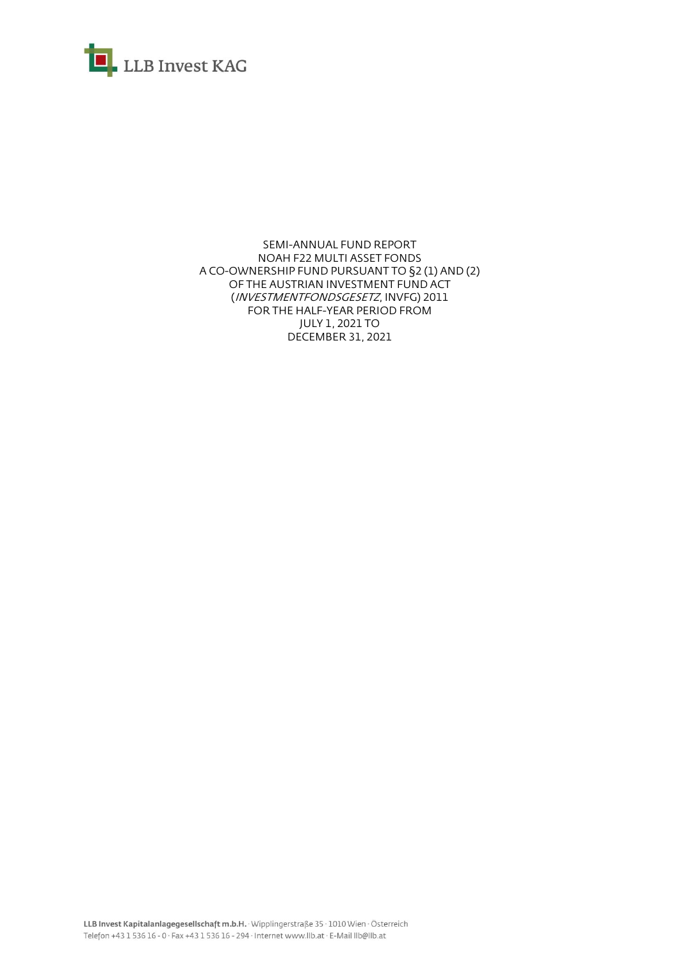

SEMI-ANNUAL FUND REPORT NOAH F22 MULTI ASSET FONDS A CO-OWNERSHIP FUND PURSUANT TO §2 (1) AND (2) OF THE AUSTRIAN INVESTMENT FUND ACT (INVESTMENTFONDSGESETZ, INVFG) 2011 FOR THE HALF-YEAR PERIOD FROM JULY 1, 2021 TO DECEMBER 31, 2021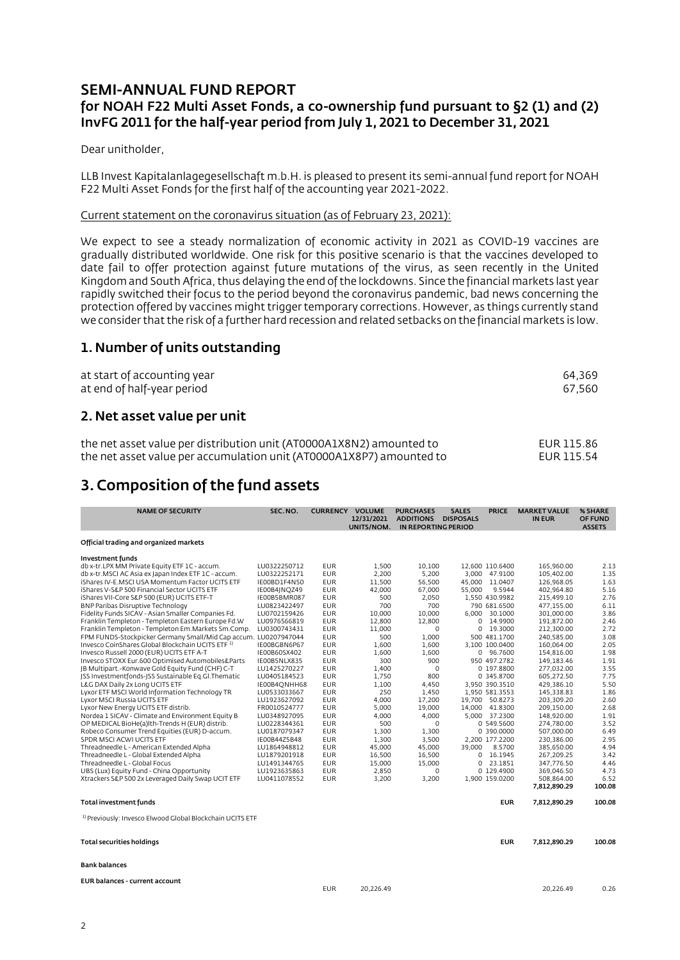# **SEMI-ANNUAL FUND REPORT for NOAH F22 Multi Asset Fonds, a co-ownership fund pursuant to §2 (1) and (2) InvFG 2011 for the half-year period from July 1, 2021 to December 31, 2021**

Dear unitholder,

LLB Invest Kapitalanlagegesellschaft m.b.H. is pleased to present its semi-annual fund report for NOAH F22 Multi Asset Fonds for the first half of the accounting year 2021-2022.

#### Current statement on the coronavirus situation (as of February 23, 2021):

We expect to see a steady normalization of economic activity in 2021 as COVID-19 vaccines are gradually distributed worldwide. One risk for this positive scenario is that the vaccines developed to date fail to offer protection against future mutations of the virus, as seen recently in the United Kingdom and South Africa, thus delaying the end of the lockdowns. Since the financial markets last year rapidly switched their focus to the period beyond the coronavirus pandemic, bad news concerning the protection offered by vaccines might trigger temporary corrections. However, as things currently stand we consider that the risk of a further hard recession and related setbacks on the financial markets is low.

### **1. Number of units outstanding**

| at start of accounting year | 64.369 |
|-----------------------------|--------|
| at end of half-year period  | 67.560 |
|                             |        |

#### **2. Net asset value per unit**

| the net asset value per distribution unit (AT0000A1X8N2) amounted to | EUR 115.86 |
|----------------------------------------------------------------------|------------|
| the net asset value per accumulation unit (AT0000A1X8P7) amounted to | EUR 115.54 |

# **3. Composition of the fund assets**

| <b>NAME OF SECURITY</b>                                              | SEC. NO.     | <b>CURRENCY VOLUME</b> | 12/31/2021<br>UNITS/NOM. | <b>PURCHASES</b><br><b>ADDITIONS</b><br>IN REPORTING PERIOD | <b>SALES</b><br><b>DISPOSALS</b> | <b>PRICE</b>    | <b>MARKET VALUE</b><br>IN EUR | % SHARE<br>OF FUND<br><b>ASSETS</b> |
|----------------------------------------------------------------------|--------------|------------------------|--------------------------|-------------------------------------------------------------|----------------------------------|-----------------|-------------------------------|-------------------------------------|
| Official trading and organized markets                               |              |                        |                          |                                                             |                                  |                 |                               |                                     |
| Investment funds                                                     |              |                        |                          |                                                             |                                  |                 |                               |                                     |
| db x-tr.LPX MM Private Equity ETF 1C - accum.                        | LU0322250712 | <b>EUR</b>             | 1,500                    | 10,100                                                      |                                  | 12,600 110.6400 | 165,960.00                    | 2.13                                |
| db x-tr.MSCI AC Asia ex Japan Index ETF 1C - accum.                  | LU0322252171 | <b>EUR</b>             | 2,200                    | 5,200                                                       |                                  | 3,000 47.9100   | 105,402.00                    | 1.35                                |
| iShares IV-E.MSCI USA Momentum Factor UCITS ETF                      | IE00BD1F4N50 | <b>EUR</b>             | 11,500                   | 56,500                                                      |                                  | 45,000 11.0407  | 126,968.05                    | 1.63                                |
| iShares V-S&P 500 Financial Sector UCITS ETF                         | IE00B4JNOZ49 | <b>EUR</b>             | 42,000                   | 67,000                                                      | 55,000                           | 9.5944          | 402,964.80                    | 5.16                                |
| iShares VII-Core S&P 500 (EUR) UCITS ETF-T                           | IE00B5BMR087 | <b>EUR</b>             | 500                      | 2,050                                                       |                                  | 1,550 430.9982  | 215,499.10                    | 2.76                                |
| <b>BNP Paribas Disruptive Technology</b>                             | LU0823422497 | <b>EUR</b>             | 700                      | 700                                                         |                                  | 790 681.6500    | 477,155.00                    | 6.11                                |
| Fidelity Funds SICAV - Asian Smaller Companies Fd.                   | LU0702159426 | <b>EUR</b>             | 10,000                   | 10,000                                                      |                                  | 6,000 30.1000   | 301,000.00                    | 3.86                                |
| Franklin Templeton - Templeton Eastern Europe Fd.W                   | LU0976566819 | <b>EUR</b>             | 12,800                   | 12,800                                                      | 0                                | 14.9900         | 191,872.00                    | 2.46                                |
| Franklin Templeton - Templeton Em.Markets Sm.Comp.                   | LU0300743431 | <b>EUR</b>             | 11,000                   | 0                                                           |                                  | 0 19.3000       | 212,300.00                    | 2.72                                |
| FPM FUNDS-Stockpicker Germany Small/Mid Cap accum. LU0207947044      |              | <b>EUR</b>             | 500                      | 1,000                                                       |                                  | 500 481.1700    | 240,585.00                    | 3.08                                |
| Invesco CoinShares Global Blockchain UCITS ETF <sup>1)</sup>         | IE00BGBN6P67 | <b>EUR</b>             | 1,600                    | 1,600                                                       |                                  | 3,100 100.0400  | 160,064.00                    | 2.05                                |
| Invesco Russell 2000 (EUR) UCITS ETF A-T                             | IE00B60SX402 | EUR                    | 1,600                    | 1,600                                                       |                                  | 0 96.7600       | 154,816.00                    | 1.98                                |
| Invesco STOXX Eur.600 Optimised Automobiles&Parts                    | IE00B5NLX835 | <b>EUR</b>             | 300                      | 900                                                         |                                  | 950 497.2782    | 149,183.46                    | 1.91                                |
| JB Multipart.-Konwave Gold Equity Fund (CHF) C-T                     | LU1425270227 | EUR                    | 1,400                    | 0                                                           |                                  | 0 197.8800      | 277,032.00                    | 3.55                                |
| JSS Investmentfonds-JSS Sustainable Eq.Gl.Thematic                   | LU0405184523 | <b>EUR</b>             | 1,750                    | 800                                                         |                                  | 0 345.8700      | 605,272.50                    | 7.75                                |
| L&G DAX Daily 2x Long UCITS ETF                                      | IE00B4ONHH68 | <b>EUR</b>             | 1,100                    | 4,450                                                       |                                  | 3,950 390.3510  | 429,386.10                    | 5.50                                |
| Lyxor ETF MSCI World Information Technology TR                       | LU0533033667 | <b>EUR</b>             | 250                      | 1,450                                                       |                                  | 1,950 581.3553  | 145,338.83                    | 1.86                                |
| Lyxor MSCI Russia UCITS ETF                                          | LU1923627092 | <b>EUR</b>             | 4,000                    | 17.200                                                      |                                  | 19.700 50.8273  | 203.309.20                    | 2.60                                |
| Lyxor New Energy UCITS ETF distrib.                                  | FR0010524777 | <b>EUR</b>             | 5,000                    | 19,000                                                      |                                  | 14,000 41.8300  | 209,150.00                    | 2.68                                |
| Nordea 1 SICAV - Climate and Environment Equity B                    | LU0348927095 | <b>EUR</b>             | 4,000                    | 4.000                                                       |                                  | 5,000 37.2300   | 148,920.00                    | 1.91                                |
| OP MEDICAL BioHe(a)Ith-Trends H (EUR) distrib.                       | LU0228344361 | <b>EUR</b>             | 500                      | 0                                                           |                                  | 0 549.5600      | 274,780.00                    | 3.52                                |
| Robeco Consumer Trend Equities (EUR) D-accum.                        | LU0187079347 | <b>EUR</b>             | 1,300                    | 1,300                                                       |                                  | 0 390.0000      | 507,000.00                    | 6.49                                |
| SPDR MSCI ACWI UCITS ETF                                             | IE00B44Z5B48 | <b>EUR</b>             | 1,300                    | 3,500                                                       |                                  | 2,200 177.2200  | 230,386.00                    | 2.95                                |
| Threadneedle L - American Extended Alpha                             | LU1864948812 | <b>EUR</b>             | 45,000                   | 45,000                                                      | 39,000                           | 8.5700          | 385,650.00                    | 4.94                                |
| Threadneedle L - Global Extended Alpha                               | LU1879201918 | <b>EUR</b>             | 16,500                   | 16,500                                                      |                                  | 0 16.1945       | 267,209.25                    | 3.42                                |
| Threadneedle L - Global Focus                                        | LU1491344765 | <b>EUR</b>             | 15,000                   | 15,000                                                      |                                  | $0$ 23.1851     | 347,776.50                    | 4.46                                |
| UBS (Lux) Equity Fund - China Opportunity                            | LU1923635863 | <b>EUR</b>             | 2,850                    | 0                                                           |                                  | 0 129.4900      | 369,046.50                    | 4.73                                |
| Xtrackers S&P 500 2x Leveraged Daily Swap UCIT ETF                   | LU0411078552 | <b>EUR</b>             | 3,200                    | 3,200                                                       |                                  | 1,900 159.0200  | 508.864.00                    | 6.52                                |
|                                                                      |              |                        |                          |                                                             |                                  |                 | 7,812,890.29                  | 100.08                              |
| <b>Total investment funds</b>                                        |              |                        |                          |                                                             |                                  | <b>EUR</b>      | 7,812,890.29                  | 100.08                              |
| <sup>1)</sup> Previously: Invesco Elwood Global Blockchain UCITS ETF |              |                        |                          |                                                             |                                  |                 |                               |                                     |
| <b>Total securities holdings</b>                                     |              |                        |                          |                                                             |                                  | <b>EUR</b>      | 7,812,890.29                  | 100.08                              |
| <b>Bank balances</b>                                                 |              |                        |                          |                                                             |                                  |                 |                               |                                     |
| EUR balances - current account                                       |              | <b>EUR</b>             | 20,226.49                |                                                             |                                  |                 | 20,226.49                     | 0.26                                |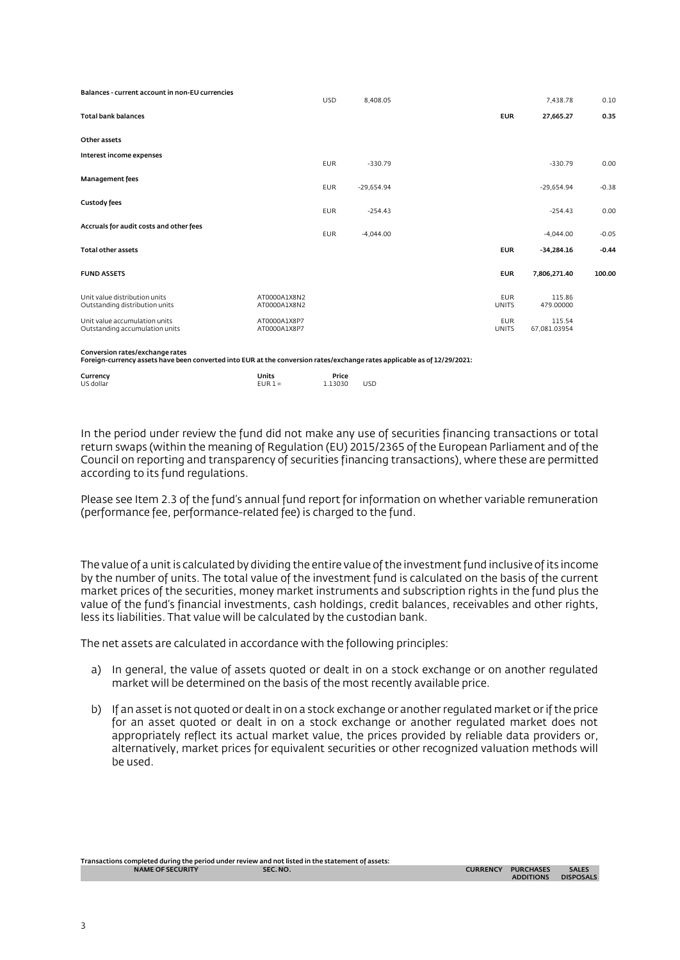| Balances - current account in non-EU currencies                 |                              | <b>USD</b> | 8,408.05     |              | 7,438.78                             | 0.10    |
|-----------------------------------------------------------------|------------------------------|------------|--------------|--------------|--------------------------------------|---------|
| <b>Total bank balances</b>                                      |                              |            |              |              | <b>EUR</b><br>27,665.27              | 0.35    |
| Other assets                                                    |                              |            |              |              |                                      |         |
| Interest income expenses                                        |                              | <b>EUR</b> | $-330.79$    |              | $-330.79$                            | 0.00    |
| Management fees                                                 |                              | <b>EUR</b> | $-29,654.94$ |              | $-29,654.94$                         | $-0.38$ |
| <b>Custody fees</b>                                             |                              | <b>EUR</b> | $-254.43$    |              | $-254.43$                            | 0.00    |
| Accruals for audit costs and other fees                         |                              | <b>EUR</b> | $-4,044.00$  |              | $-4,044.00$                          | $-0.05$ |
| <b>Total other assets</b>                                       |                              |            |              |              | <b>EUR</b><br>$-34,284.16$           | $-0.44$ |
| <b>FUND ASSETS</b>                                              |                              |            |              |              | <b>EUR</b><br>7,806,271.40           | 100.00  |
| Unit value distribution units<br>Outstanding distribution units | AT0000A1X8N2<br>AT0000A1X8N2 |            |              | <b>UNITS</b> | <b>EUR</b><br>115.86<br>479,00000    |         |
| Unit value accumulation units<br>Outstanding accumulation units | AT0000A1X8P7<br>AT0000A1X8P7 |            |              | <b>UNITS</b> | <b>EUR</b><br>115.54<br>67,081.03954 |         |
|                                                                 |                              |            |              |              |                                      |         |

**Conversion rates/exchange rates Foreign-currency assets have been converted into EUR at the conversion rates/exchange rates applicable as of 12/29/2021:**

| Currency  | Units    | Price   |            |
|-----------|----------|---------|------------|
| US dollar | $EUR1 =$ | 1.13030 | <b>USD</b> |

In the period under review the fund did not make any use of securities financing transactions or total return swaps (within the meaning of Regulation (EU) 2015/2365 of the European Parliament and of the Council on reporting and transparency of securities financing transactions), where these are permitted according to its fund regulations.

Please see Item 2.3 of the fund's annual fund report for information on whether variable remuneration (performance fee, performance-related fee) is charged to the fund.

The value of a unit is calculated by dividing the entire value of the investment fund inclusive of its income by the number of units. The total value of the investment fund is calculated on the basis of the current market prices of the securities, money market instruments and subscription rights in the fund plus the value of the fund's financial investments, cash holdings, credit balances, receivables and other rights, less its liabilities. That value will be calculated by the custodian bank.

The net assets are calculated in accordance with the following principles:

- a) In general, the value of assets quoted or dealt in on a stock exchange or on another regulated market will be determined on the basis of the most recently available price.
- b) If an asset is not quoted or dealt in on a stock exchange or another regulated market or if the price for an asset quoted or dealt in on a stock exchange or another regulated market does not appropriately reflect its actual market value, the prices provided by reliable data providers or, alternatively, market prices for equivalent securities or other recognized valuation methods will be used.